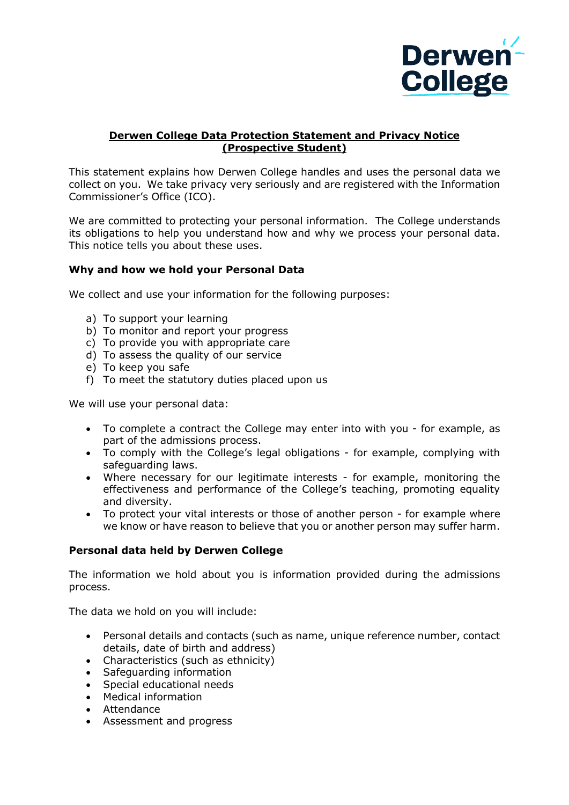

## **Derwen College Data Protection Statement and Privacy Notice (Prospective Student)**

This statement explains how Derwen College handles and uses the personal data we collect on you. We take privacy very seriously and are registered with the Information Commissioner's Office (ICO).

We are committed to protecting your personal information. The College understands its obligations to help you understand how and why we process your personal data. This notice tells you about these uses.

### **Why and how we hold your Personal Data**

We collect and use your information for the following purposes:

- a) To support your learning
- b) To monitor and report your progress
- c) To provide you with appropriate care
- d) To assess the quality of our service
- e) To keep you safe
- f) To meet the statutory duties placed upon us

We will use your personal data:

- To complete a contract the College may enter into with you for example, as part of the admissions process.
- To comply with the College's legal obligations for example, complying with safeguarding laws.
- Where necessary for our legitimate interests for example, monitoring the effectiveness and performance of the College's teaching, promoting equality and diversity.
- To protect your vital interests or those of another person for example where we know or have reason to believe that you or another person may suffer harm.

### **Personal data held by Derwen College**

The information we hold about you is information provided during the admissions process.

The data we hold on you will include:

- Personal details and contacts (such as name, unique reference number, contact details, date of birth and address)
- Characteristics (such as ethnicity)
- Safeguarding information
- Special educational needs
- Medical information
- Attendance
- Assessment and progress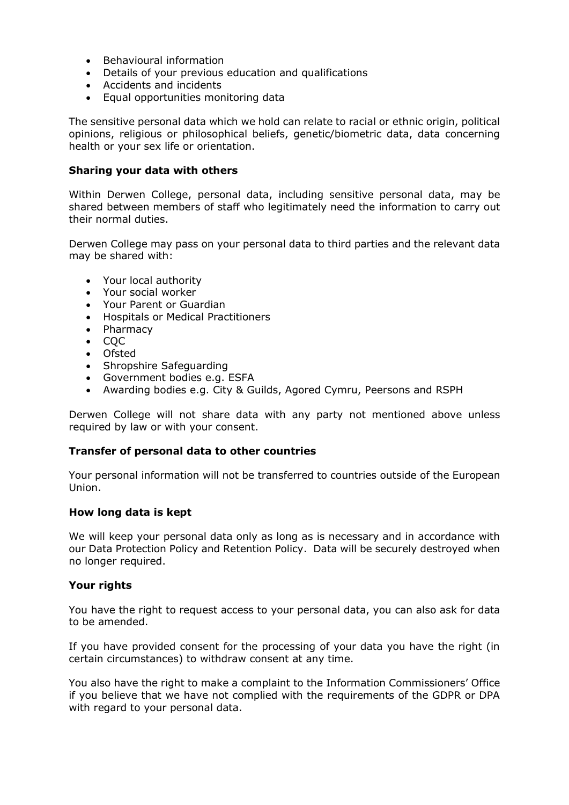- Behavioural information
- Details of your previous education and qualifications
- Accidents and incidents
- Equal opportunities monitoring data

The sensitive personal data which we hold can relate to racial or ethnic origin, political opinions, religious or philosophical beliefs, genetic/biometric data, data concerning health or your sex life or orientation.

#### **Sharing your data with others**

Within Derwen College, personal data, including sensitive personal data, may be shared between members of staff who legitimately need the information to carry out their normal duties.

Derwen College may pass on your personal data to third parties and the relevant data may be shared with:

- Your local authority
- Your social worker
- Your Parent or Guardian
- Hospitals or Medical Practitioners
- Pharmacy
- $\bullet$  COC
- Ofsted
- Shropshire Safeguarding
- Government bodies e.g. ESFA
- Awarding bodies e.g. City & Guilds, Agored Cymru, Peersons and RSPH

Derwen College will not share data with any party not mentioned above unless required by law or with your consent.

### **Transfer of personal data to other countries**

Your personal information will not be transferred to countries outside of the European Union.

### **How long data is kept**

We will keep your personal data only as long as is necessary and in accordance with our Data Protection Policy and Retention Policy. Data will be securely destroyed when no longer required.

### **Your rights**

You have the right to request access to your personal data, you can also ask for data to be amended.

If you have provided consent for the processing of your data you have the right (in certain circumstances) to withdraw consent at any time.

You also have the right to make a complaint to the Information Commissioners' Office if you believe that we have not complied with the requirements of the GDPR or DPA with regard to your personal data.